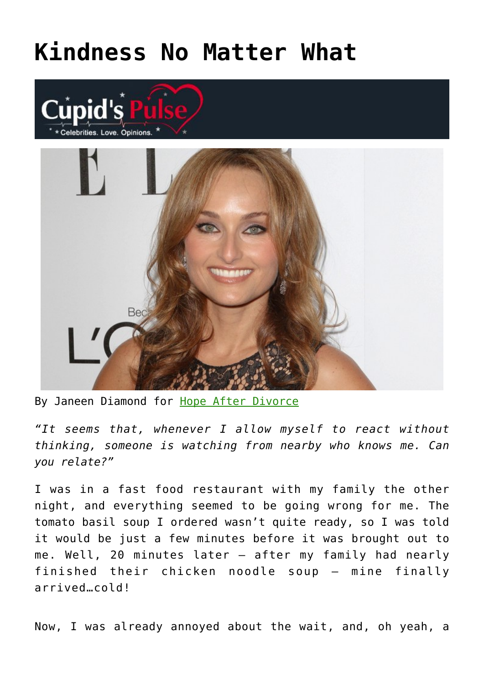## **[Kindness No Matter What](https://cupidspulse.com/85072/relationship-advice-janeen-diamond-kindness-no-matter-what/)**





By Janeen Diamond for [Hope After Divorce](http://www.divorcesupportcenter.com/)

*"It seems that, whenever I allow myself to react without thinking, someone is watching from nearby who knows me. Can you relate?"*

I was in a fast food restaurant with my family the other night, and everything seemed to be going wrong for me. The tomato basil soup I ordered wasn't quite ready, so I was told it would be just a few minutes before it was brought out to me. Well, 20 minutes later — after my family had nearly finished their chicken noodle soup — mine finally arrived…cold!

Now, I was already annoyed about the wait, and, oh yeah, a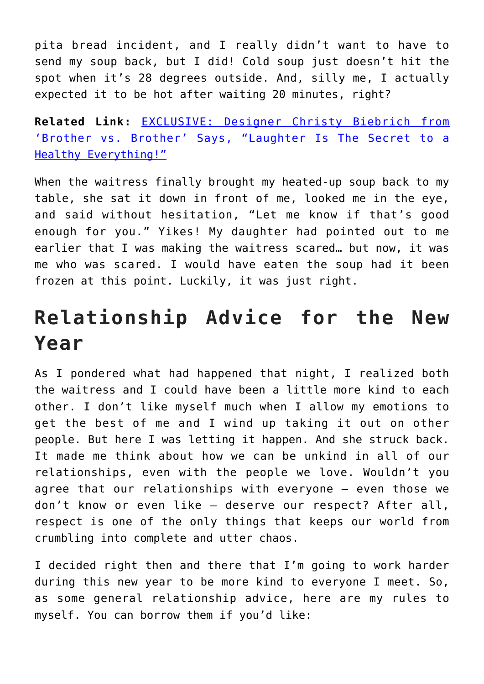pita bread incident, and I really didn't want to have to send my soup back, but I did! Cold soup just doesn't hit the spot when it's 28 degrees outside. And, silly me, I actually expected it to be hot after waiting 20 minutes, right?

**Related Link:** [EXCLUSIVE: Designer Christy Biebrich from](http://cupidspulse.com/55117/christy-biebrich-brother-vs-brother-hgtv-design-love/) ['Brother vs. Brother' Says, "Laughter Is The Secret to a](http://cupidspulse.com/55117/christy-biebrich-brother-vs-brother-hgtv-design-love/) [Healthy Everything!"](http://cupidspulse.com/55117/christy-biebrich-brother-vs-brother-hgtv-design-love/)

When the waitress finally brought my heated-up soup back to my table, she sat it down in front of me, looked me in the eye, and said without hesitation, "Let me know if that's good enough for you." Yikes! My daughter had pointed out to me earlier that I was making the waitress scared… but now, it was me who was scared. I would have eaten the soup had it been frozen at this point. Luckily, it was just right.

## **Relationship Advice for the New Year**

As I pondered what had happened that night, I realized both the waitress and I could have been a little more kind to each other. I don't like myself much when I allow my emotions to get the best of me and I wind up taking it out on other people. But here I was letting it happen. And she struck back. It made me think about how we can be unkind in all of our relationships, even with the people we love. Wouldn't you agree that our relationships with everyone — even those we don't know or even like — deserve our respect? After all, respect is one of the only things that keeps our world from crumbling into complete and utter chaos.

I decided right then and there that I'm going to work harder during this new year to be more kind to everyone I meet. So, as some general relationship advice, here are my rules to myself. You can borrow them if you'd like: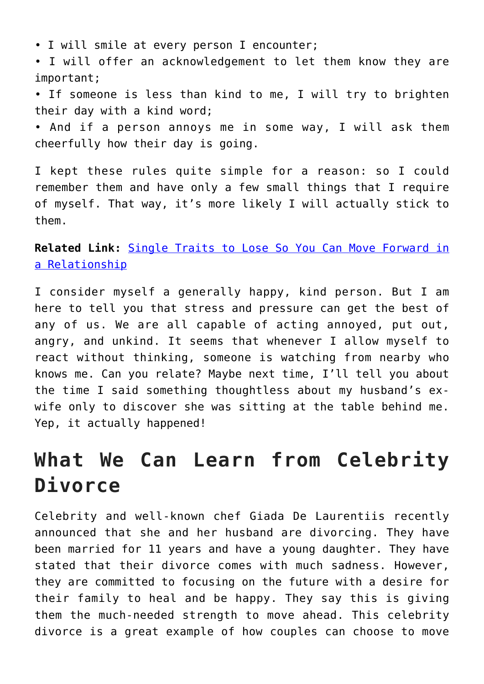• I will smile at every person I encounter;

• I will offer an acknowledgement to let them know they are important;

• If someone is less than kind to me, I will try to brighten their day with a kind word;

• And if a person annoys me in some way, I will ask them cheerfully how their day is going.

I kept these rules quite simple for a reason: so I could remember them and have only a few small things that I require of myself. That way, it's more likely I will actually stick to them.

**Related Link:** [Single Traits to Lose So You Can Move Forward in](http://cupidspulse.com/44508/single-traits-lose-move-forward-relationshi/) [a Relationship](http://cupidspulse.com/44508/single-traits-lose-move-forward-relationshi/)

I consider myself a generally happy, kind person. But I am here to tell you that stress and pressure can get the best of any of us. We are all capable of acting annoyed, put out, angry, and unkind. It seems that whenever I allow myself to react without thinking, someone is watching from nearby who knows me. Can you relate? Maybe next time, I'll tell you about the time I said something thoughtless about my husband's exwife only to discover she was sitting at the table behind me. Yep, it actually happened!

## **What We Can Learn from Celebrity Divorce**

Celebrity and well-known chef Giada De Laurentiis recently announced that she and her husband are divorcing. They have been married for 11 years and have a young daughter. They have stated that their divorce comes with much sadness. However, they are committed to focusing on the future with a desire for their family to heal and be happy. They say this is giving them the much-needed strength to move ahead. This celebrity divorce is a great example of how couples can choose to move